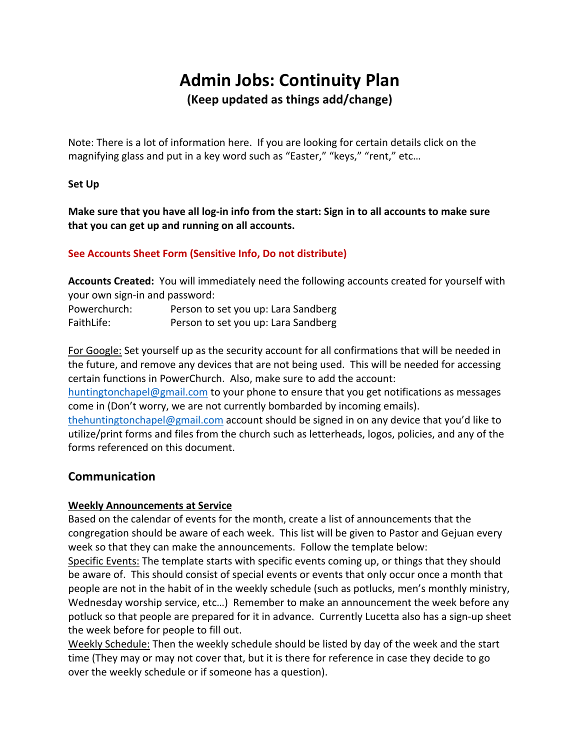# **Admin Jobs: Continuity Plan (Keep updated as things add/change)**

Note: There is a lot of information here. If you are looking for certain details click on the magnifying glass and put in a key word such as "Easter," "keys," "rent," etc…

## **Set Up**

**Make sure that you have all log-in info from the start: Sign in to all accounts to make sure that you can get up and running on all accounts.**

## **See Accounts Sheet Form (Sensitive Info, Do not distribute)**

**Accounts Created:** You will immediately need the following accounts created for yourself with your own sign-in and password:

| Powerchurch: | Person to set you up: Lara Sandberg |
|--------------|-------------------------------------|
| FaithLife:   | Person to set you up: Lara Sandberg |

For Google: Set yourself up as the security account for all confirmations that will be needed in the future, and remove any devices that are not being used. This will be needed for accessing certain functions in PowerChurch. Also, make sure to add the account:

huntingtonchapel@gmail.com to your phone to ensure that you get notifications as messages come in (Don't worry, we are not currently bombarded by incoming emails).

thehuntingtonchapel@gmail.com account should be signed in on any device that you'd like to utilize/print forms and files from the church such as letterheads, logos, policies, and any of the forms referenced on this document.

## **Communication**

## **Weekly Announcements at Service**

Based on the calendar of events for the month, create a list of announcements that the congregation should be aware of each week. This list will be given to Pastor and Gejuan every week so that they can make the announcements. Follow the template below:

Specific Events: The template starts with specific events coming up, or things that they should be aware of. This should consist of special events or events that only occur once a month that people are not in the habit of in the weekly schedule (such as potlucks, men's monthly ministry, Wednesday worship service, etc…) Remember to make an announcement the week before any potluck so that people are prepared for it in advance. Currently Lucetta also has a sign-up sheet the week before for people to fill out.

Weekly Schedule: Then the weekly schedule should be listed by day of the week and the start time (They may or may not cover that, but it is there for reference in case they decide to go over the weekly schedule or if someone has a question).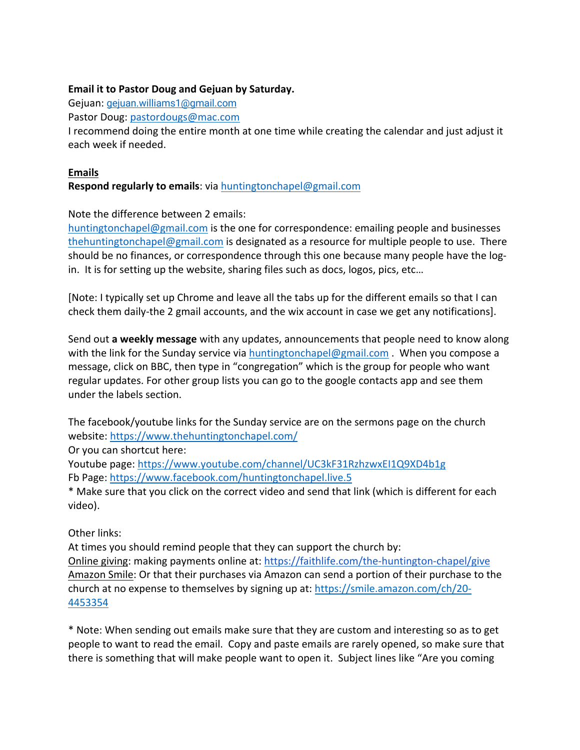## **Email it to Pastor Doug and Gejuan by Saturday.**

Gejuan: gejuan.williams1@gmail.com

Pastor Doug: pastordougs@mac.com

I recommend doing the entire month at one time while creating the calendar and just adjust it each week if needed.

## **Emails**

**Respond regularly to emails**: via huntingtonchapel@gmail.com

## Note the difference between 2 emails:

huntingtonchapel@gmail.com is the one for correspondence: emailing people and businesses thehuntingtonchapel@gmail.com is designated as a resource for multiple people to use. There should be no finances, or correspondence through this one because many people have the login. It is for setting up the website, sharing files such as docs, logos, pics, etc…

[Note: I typically set up Chrome and leave all the tabs up for the different emails so that I can check them daily-the 2 gmail accounts, and the wix account in case we get any notifications].

Send out **a weekly message** with any updates, announcements that people need to know along with the link for the Sunday service via huntingtonchapel@gmail.com . When you compose a message, click on BBC, then type in "congregation" which is the group for people who want regular updates. For other group lists you can go to the google contacts app and see them under the labels section.

The facebook/youtube links for the Sunday service are on the sermons page on the church website: https://www.thehuntingtonchapel.com/

Or you can shortcut here:

Youtube page: https://www.youtube.com/channel/UC3kF31RzhzwxEI1Q9XD4b1g Fb Page: https://www.facebook.com/huntingtonchapel.live.5

\* Make sure that you click on the correct video and send that link (which is different for each video).

## Other links:

At times you should remind people that they can support the church by:

Online giving: making payments online at: https://faithlife.com/the-huntington-chapel/give Amazon Smile: Or that their purchases via Amazon can send a portion of their purchase to the church at no expense to themselves by signing up at: https://smile.amazon.com/ch/20- 4453354

\* Note: When sending out emails make sure that they are custom and interesting so as to get people to want to read the email. Copy and paste emails are rarely opened, so make sure that there is something that will make people want to open it. Subject lines like "Are you coming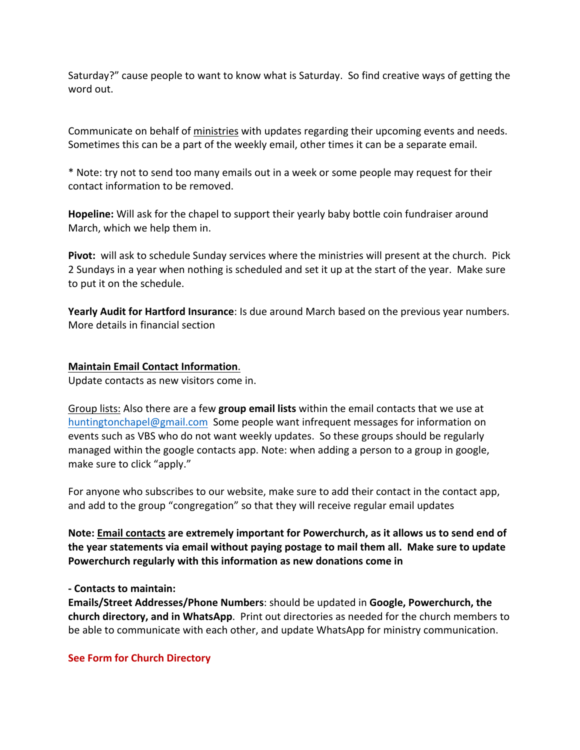Saturday?" cause people to want to know what is Saturday. So find creative ways of getting the word out.

Communicate on behalf of ministries with updates regarding their upcoming events and needs. Sometimes this can be a part of the weekly email, other times it can be a separate email.

\* Note: try not to send too many emails out in a week or some people may request for their contact information to be removed.

**Hopeline:** Will ask for the chapel to support their yearly baby bottle coin fundraiser around March, which we help them in.

**Pivot:** will ask to schedule Sunday services where the ministries will present at the church. Pick 2 Sundays in a year when nothing is scheduled and set it up at the start of the year. Make sure to put it on the schedule.

**Yearly Audit for Hartford Insurance**: Is due around March based on the previous year numbers. More details in financial section

## **Maintain Email Contact Information**.

Update contacts as new visitors come in.

Group lists: Also there are a few **group email lists** within the email contacts that we use at huntingtonchapel@gmail.com Some people want infrequent messages for information on events such as VBS who do not want weekly updates. So these groups should be regularly managed within the google contacts app. Note: when adding a person to a group in google, make sure to click "apply."

For anyone who subscribes to our website, make sure to add their contact in the contact app, and add to the group "congregation" so that they will receive regular email updates

**Note: Email contacts are extremely important for Powerchurch, as it allows us to send end of the year statements via email without paying postage to mail them all. Make sure to update Powerchurch regularly with this information as new donations come in**

## **- Contacts to maintain:**

**Emails/Street Addresses/Phone Numbers**: should be updated in **Google, Powerchurch, the church directory, and in WhatsApp**. Print out directories as needed for the church members to be able to communicate with each other, and update WhatsApp for ministry communication.

## **See Form for Church Directory**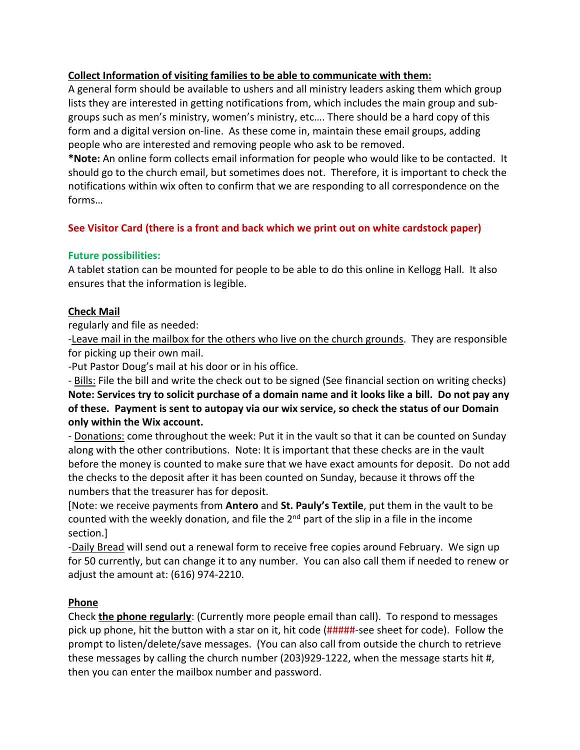## **Collect Information of visiting families to be able to communicate with them:**

A general form should be available to ushers and all ministry leaders asking them which group lists they are interested in getting notifications from, which includes the main group and subgroups such as men's ministry, women's ministry, etc…. There should be a hard copy of this form and a digital version on-line. As these come in, maintain these email groups, adding people who are interested and removing people who ask to be removed.

**\*Note:** An online form collects email information for people who would like to be contacted. It should go to the church email, but sometimes does not. Therefore, it is important to check the notifications within wix often to confirm that we are responding to all correspondence on the forms…

## **See Visitor Card (there is a front and back which we print out on white cardstock paper)**

## **Future possibilities:**

A tablet station can be mounted for people to be able to do this online in Kellogg Hall. It also ensures that the information is legible.

## **Check Mail**

regularly and file as needed:

-Leave mail in the mailbox for the others who live on the church grounds. They are responsible for picking up their own mail.

-Put Pastor Doug's mail at his door or in his office.

- Bills: File the bill and write the check out to be signed (See financial section on writing checks) **Note: Services try to solicit purchase of a domain name and it looks like a bill. Do not pay any of these. Payment is sent to autopay via our wix service, so check the status of our Domain only within the Wix account.**

- Donations: come throughout the week: Put it in the vault so that it can be counted on Sunday along with the other contributions. Note: It is important that these checks are in the vault before the money is counted to make sure that we have exact amounts for deposit. Do not add the checks to the deposit after it has been counted on Sunday, because it throws off the numbers that the treasurer has for deposit.

[Note: we receive payments from **Antero** and **St. Pauly's Textile**, put them in the vault to be counted with the weekly donation, and file the  $2<sup>nd</sup>$  part of the slip in a file in the income section.]

-Daily Bread will send out a renewal form to receive free copies around February. We sign up for 50 currently, but can change it to any number. You can also call them if needed to renew or adjust the amount at: (616) 974-2210.

## **Phone**

Check **the phone regularly**: (Currently more people email than call). To respond to messages pick up phone, hit the button with a star on it, hit code (#####-see sheet for code). Follow the prompt to listen/delete/save messages. (You can also call from outside the church to retrieve these messages by calling the church number (203)929-1222, when the message starts hit #, then you can enter the mailbox number and password.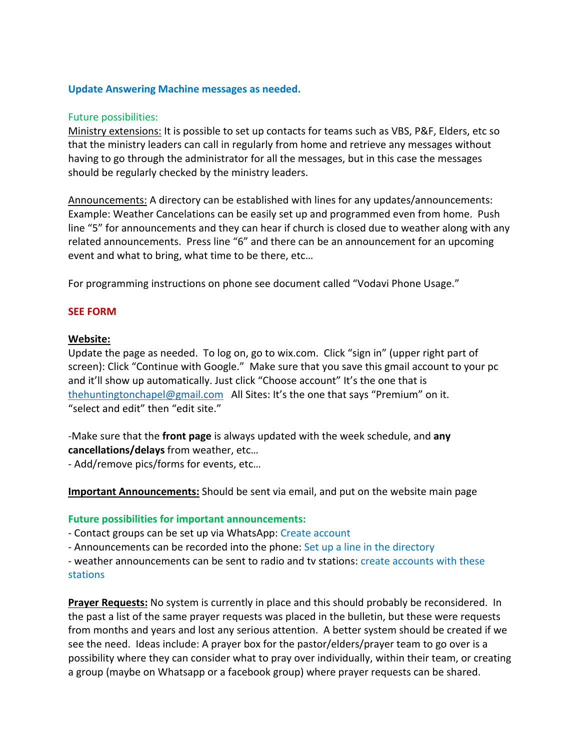### **Update Answering Machine messages as needed.**

#### Future possibilities:

Ministry extensions: It is possible to set up contacts for teams such as VBS, P&F, Elders, etc so that the ministry leaders can call in regularly from home and retrieve any messages without having to go through the administrator for all the messages, but in this case the messages should be regularly checked by the ministry leaders.

Announcements: A directory can be established with lines for any updates/announcements: Example: Weather Cancelations can be easily set up and programmed even from home. Push line "5" for announcements and they can hear if church is closed due to weather along with any related announcements. Press line "6" and there can be an announcement for an upcoming event and what to bring, what time to be there, etc…

For programming instructions on phone see document called "Vodavi Phone Usage."

#### **SEE FORM**

#### **Website:**

Update the page as needed. To log on, go to wix.com. Click "sign in" (upper right part of screen): Click "Continue with Google." Make sure that you save this gmail account to your pc and it'll show up automatically. Just click "Choose account" It's the one that is thehuntingtonchapel@gmail.com All Sites: It's the one that says "Premium" on it. "select and edit" then "edit site."

-Make sure that the **front page** is always updated with the week schedule, and **any cancellations/delays** from weather, etc…

- Add/remove pics/forms for events, etc…

**Important Announcements:** Should be sent via email, and put on the website main page

#### **Future possibilities for important announcements:**

- Contact groups can be set up via WhatsApp: Create account

- Announcements can be recorded into the phone: Set up a line in the directory

- weather announcements can be sent to radio and tv stations: create accounts with these stations

**Prayer Requests:** No system is currently in place and this should probably be reconsidered. In the past a list of the same prayer requests was placed in the bulletin, but these were requests from months and years and lost any serious attention. A better system should be created if we see the need. Ideas include: A prayer box for the pastor/elders/prayer team to go over is a possibility where they can consider what to pray over individually, within their team, or creating a group (maybe on Whatsapp or a facebook group) where prayer requests can be shared.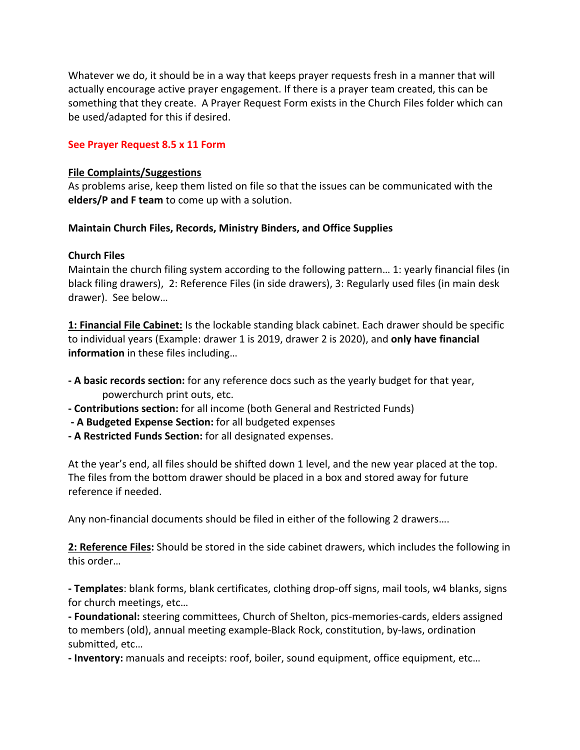Whatever we do, it should be in a way that keeps prayer requests fresh in a manner that will actually encourage active prayer engagement. If there is a prayer team created, this can be something that they create. A Prayer Request Form exists in the Church Files folder which can be used/adapted for this if desired.

### **See Prayer Request 8.5 x 11 Form**

#### **File Complaints/Suggestions**

As problems arise, keep them listed on file so that the issues can be communicated with the **elders/P and F team** to come up with a solution.

#### **Maintain Church Files, Records, Ministry Binders, and Office Supplies**

## **Church Files**

Maintain the church filing system according to the following pattern… 1: yearly financial files (in black filing drawers), 2: Reference Files (in side drawers), 3: Regularly used files (in main desk drawer). See below…

**1: Financial File Cabinet:** Is the lockable standing black cabinet. Each drawer should be specific to individual years (Example: drawer 1 is 2019, drawer 2 is 2020), and **only have financial information** in these files including…

- **- A basic records section:** for any reference docs such as the yearly budget for that year, powerchurch print outs, etc.
- **- Contributions section:** for all income (both General and Restricted Funds)
- **- A Budgeted Expense Section:** for all budgeted expenses
- **- A Restricted Funds Section:** for all designated expenses.

At the year's end, all files should be shifted down 1 level, and the new year placed at the top. The files from the bottom drawer should be placed in a box and stored away for future reference if needed.

Any non-financial documents should be filed in either of the following 2 drawers….

**2: Reference Files:** Should be stored in the side cabinet drawers, which includes the following in this order…

**- Templates**: blank forms, blank certificates, clothing drop-off signs, mail tools, w4 blanks, signs for church meetings, etc…

**- Foundational:** steering committees, Church of Shelton, pics-memories-cards, elders assigned to members (old), annual meeting example-Black Rock, constitution, by-laws, ordination submitted, etc…

**- Inventory:** manuals and receipts: roof, boiler, sound equipment, office equipment, etc…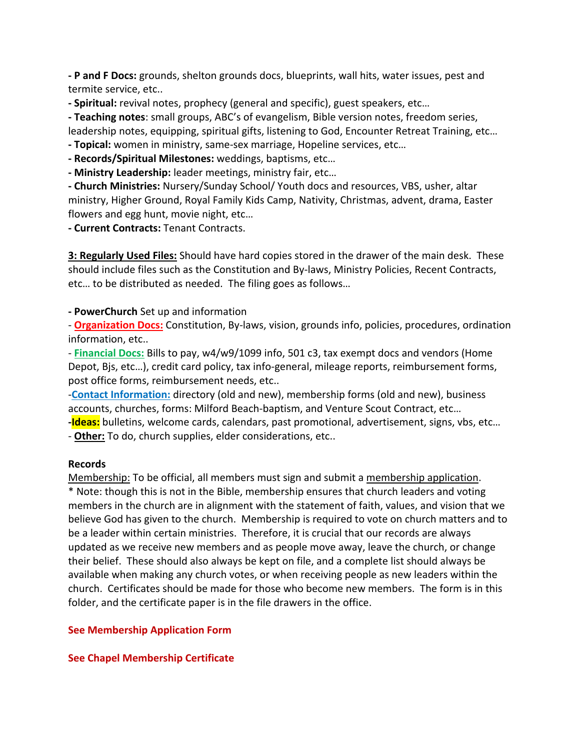**- P and F Docs:** grounds, shelton grounds docs, blueprints, wall hits, water issues, pest and termite service, etc..

**- Spiritual:** revival notes, prophecy (general and specific), guest speakers, etc…

**- Teaching notes**: small groups, ABC's of evangelism, Bible version notes, freedom series, leadership notes, equipping, spiritual gifts, listening to God, Encounter Retreat Training, etc…

**- Topical:** women in ministry, same-sex marriage, Hopeline services, etc…

**- Records/Spiritual Milestones:** weddings, baptisms, etc…

**- Ministry Leadership:** leader meetings, ministry fair, etc…

**- Church Ministries:** Nursery/Sunday School/ Youth docs and resources, VBS, usher, altar ministry, Higher Ground, Royal Family Kids Camp, Nativity, Christmas, advent, drama, Easter flowers and egg hunt, movie night, etc…

**- Current Contracts:** Tenant Contracts.

**3: Regularly Used Files:** Should have hard copies stored in the drawer of the main desk. These should include files such as the Constitution and By-laws, Ministry Policies, Recent Contracts, etc… to be distributed as needed. The filing goes as follows…

**- PowerChurch** Set up and information

- **Organization Docs:** Constitution, By-laws, vision, grounds info, policies, procedures, ordination information, etc..

- **Financial Docs:** Bills to pay, w4/w9/1099 info, 501 c3, tax exempt docs and vendors (Home Depot, Bjs, etc…), credit card policy, tax info-general, mileage reports, reimbursement forms, post office forms, reimbursement needs, etc..

-**Contact Information:** directory (old and new), membership forms (old and new), business accounts, churches, forms: Milford Beach-baptism, and Venture Scout Contract, etc…

**-Ideas:** bulletins, welcome cards, calendars, past promotional, advertisement, signs, vbs, etc…

- **Other:** To do, church supplies, elder considerations, etc..

## **Records**

Membership: To be official, all members must sign and submit a membership application.

\* Note: though this is not in the Bible, membership ensures that church leaders and voting members in the church are in alignment with the statement of faith, values, and vision that we believe God has given to the church. Membership is required to vote on church matters and to be a leader within certain ministries. Therefore, it is crucial that our records are always updated as we receive new members and as people move away, leave the church, or change their belief. These should also always be kept on file, and a complete list should always be available when making any church votes, or when receiving people as new leaders within the church. Certificates should be made for those who become new members. The form is in this folder, and the certificate paper is in the file drawers in the office.

## **See Membership Application Form**

## **See Chapel Membership Certificate**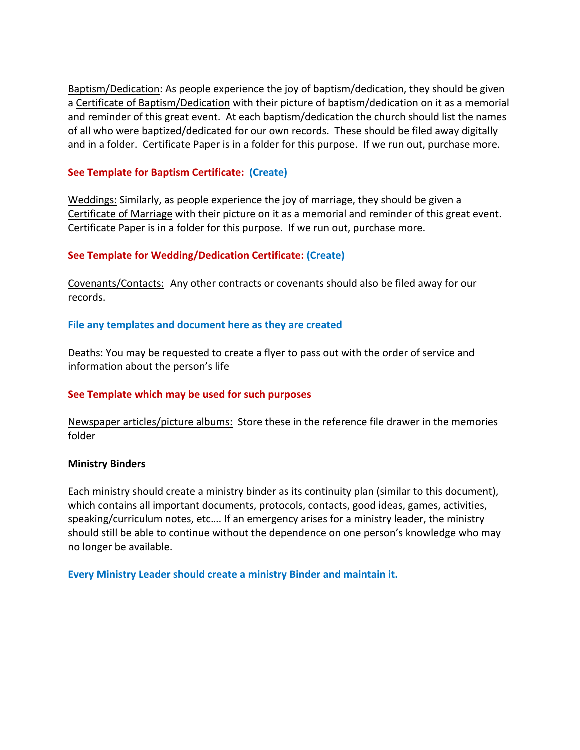Baptism/Dedication: As people experience the joy of baptism/dedication, they should be given a Certificate of Baptism/Dedication with their picture of baptism/dedication on it as a memorial and reminder of this great event. At each baptism/dedication the church should list the names of all who were baptized/dedicated for our own records. These should be filed away digitally and in a folder. Certificate Paper is in a folder for this purpose. If we run out, purchase more.

## **See Template for Baptism Certificate: (Create)**

Weddings: Similarly, as people experience the joy of marriage, they should be given a Certificate of Marriage with their picture on it as a memorial and reminder of this great event. Certificate Paper is in a folder for this purpose. If we run out, purchase more.

#### **See Template for Wedding/Dedication Certificate: (Create)**

Covenants/Contacts: Any other contracts or covenants should also be filed away for our records.

#### **File any templates and document here as they are created**

Deaths: You may be requested to create a flyer to pass out with the order of service and information about the person's life

## **See Template which may be used for such purposes**

Newspaper articles/picture albums: Store these in the reference file drawer in the memories folder

#### **Ministry Binders**

Each ministry should create a ministry binder as its continuity plan (similar to this document), which contains all important documents, protocols, contacts, good ideas, games, activities, speaking/curriculum notes, etc…. If an emergency arises for a ministry leader, the ministry should still be able to continue without the dependence on one person's knowledge who may no longer be available.

#### **Every Ministry Leader should create a ministry Binder and maintain it.**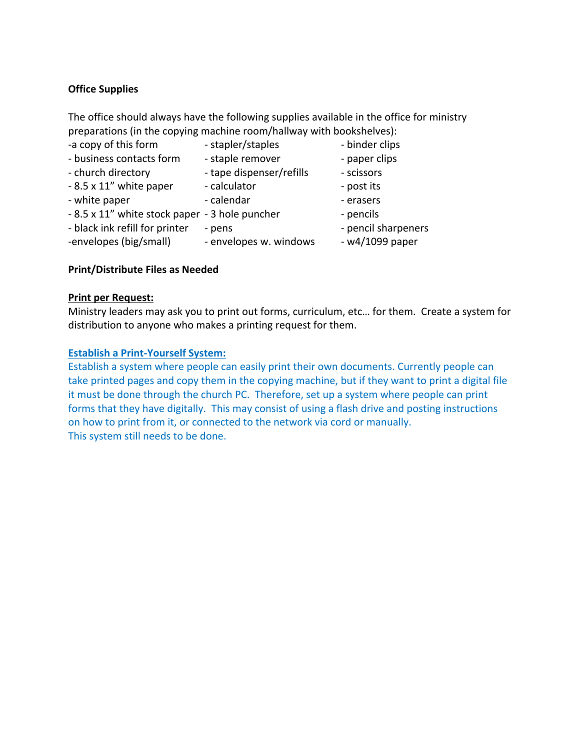## **Office Supplies**

The office should always have the following supplies available in the office for ministry preparations (in the copying machine room/hallway with bookshelves):

- -a copy of this form stapler/staples binder clips
	-
- business contacts form staple remover paper clips
	-
- church directory tape dispenser/refills scissors
- 8.5 x 11" white paper calculator post its
	-
	-
- white paper  $\overline{\phantom{a}}$  calendar  $\overline{\phantom{a}}$  erasers
	-
- black ink refill for printer pens pencil sharpeners
- -envelopes (big/small) envelopes w. windows w4/1099 paper
- 
- 
- 
- 
- 
- 
- 8.5 x 11" white stock paper 3 hole puncher pencils
	-
	-

## **Print/Distribute Files as Needed**

## **Print per Request:**

Ministry leaders may ask you to print out forms, curriculum, etc… for them. Create a system for distribution to anyone who makes a printing request for them.

## **Establish a Print-Yourself System:**

Establish a system where people can easily print their own documents. Currently people can take printed pages and copy them in the copying machine, but if they want to print a digital file it must be done through the church PC. Therefore, set up a system where people can print forms that they have digitally. This may consist of using a flash drive and posting instructions on how to print from it, or connected to the network via cord or manually. This system still needs to be done.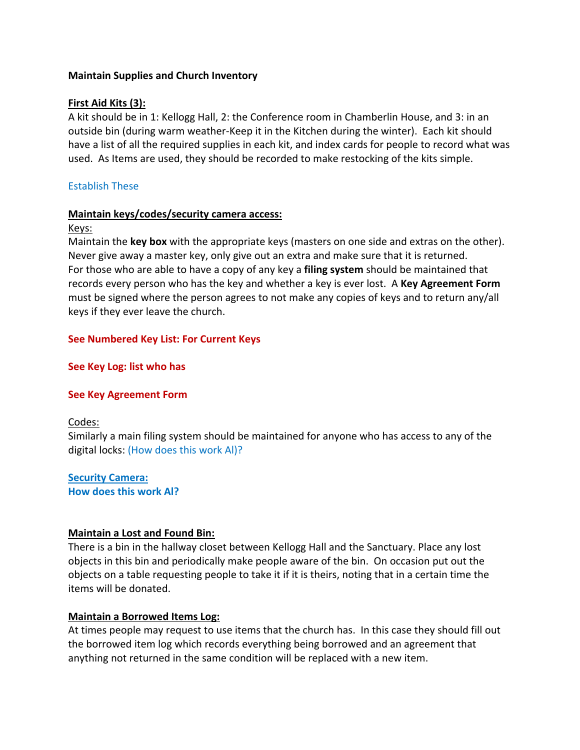## **Maintain Supplies and Church Inventory**

## **First Aid Kits (3):**

A kit should be in 1: Kellogg Hall, 2: the Conference room in Chamberlin House, and 3: in an outside bin (during warm weather-Keep it in the Kitchen during the winter). Each kit should have a list of all the required supplies in each kit, and index cards for people to record what was used. As Items are used, they should be recorded to make restocking of the kits simple.

## Establish These

#### **Maintain keys/codes/security camera access:**

#### Keys:

Maintain the **key box** with the appropriate keys (masters on one side and extras on the other). Never give away a master key, only give out an extra and make sure that it is returned. For those who are able to have a copy of any key a **filing system** should be maintained that records every person who has the key and whether a key is ever lost. A **Key Agreement Form** must be signed where the person agrees to not make any copies of keys and to return any/all keys if they ever leave the church.

## **See Numbered Key List: For Current Keys**

## **See Key Log: list who has**

## **See Key Agreement Form**

## Codes:

Similarly a main filing system should be maintained for anyone who has access to any of the digital locks: (How does this work Al)?

**Security Camera: How does this work Al?**

## **Maintain a Lost and Found Bin:**

There is a bin in the hallway closet between Kellogg Hall and the Sanctuary. Place any lost objects in this bin and periodically make people aware of the bin. On occasion put out the objects on a table requesting people to take it if it is theirs, noting that in a certain time the items will be donated.

## **Maintain a Borrowed Items Log:**

At times people may request to use items that the church has. In this case they should fill out the borrowed item log which records everything being borrowed and an agreement that anything not returned in the same condition will be replaced with a new item.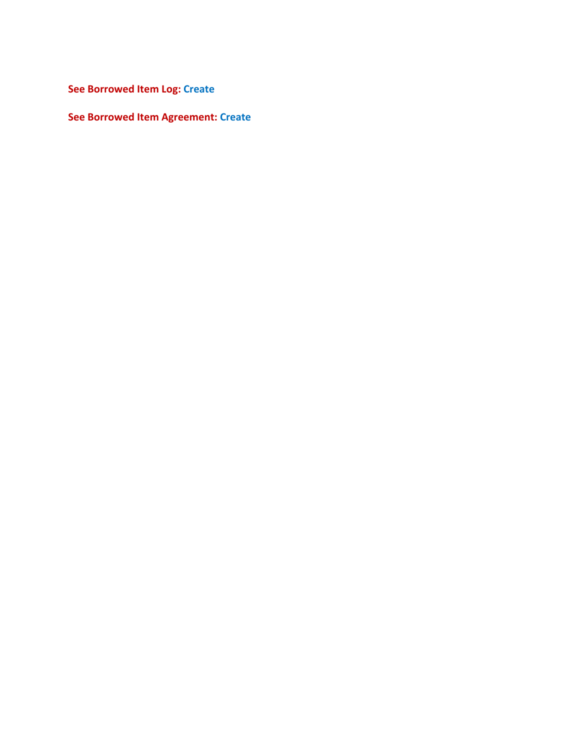**See Borrowed Item Log: Create**

**See Borrowed Item Agreement: Create**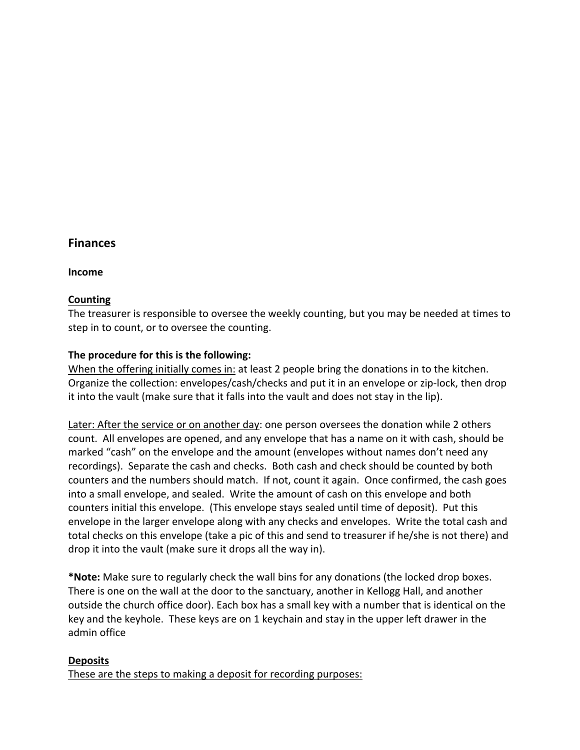## **Finances**

**Income**

#### **Counting**

The treasurer is responsible to oversee the weekly counting, but you may be needed at times to step in to count, or to oversee the counting.

#### **The procedure for this is the following:**

When the offering initially comes in: at least 2 people bring the donations in to the kitchen. Organize the collection: envelopes/cash/checks and put it in an envelope or zip-lock, then drop it into the vault (make sure that it falls into the vault and does not stay in the lip).

Later: After the service or on another day: one person oversees the donation while 2 others count. All envelopes are opened, and any envelope that has a name on it with cash, should be marked "cash" on the envelope and the amount (envelopes without names don't need any recordings). Separate the cash and checks. Both cash and check should be counted by both counters and the numbers should match. If not, count it again. Once confirmed, the cash goes into a small envelope, and sealed. Write the amount of cash on this envelope and both counters initial this envelope. (This envelope stays sealed until time of deposit). Put this envelope in the larger envelope along with any checks and envelopes. Write the total cash and total checks on this envelope (take a pic of this and send to treasurer if he/she is not there) and drop it into the vault (make sure it drops all the way in).

**\*Note:** Make sure to regularly check the wall bins for any donations (the locked drop boxes. There is one on the wall at the door to the sanctuary, another in Kellogg Hall, and another outside the church office door). Each box has a small key with a number that is identical on the key and the keyhole. These keys are on 1 keychain and stay in the upper left drawer in the admin office

#### **Deposits**

These are the steps to making a deposit for recording purposes: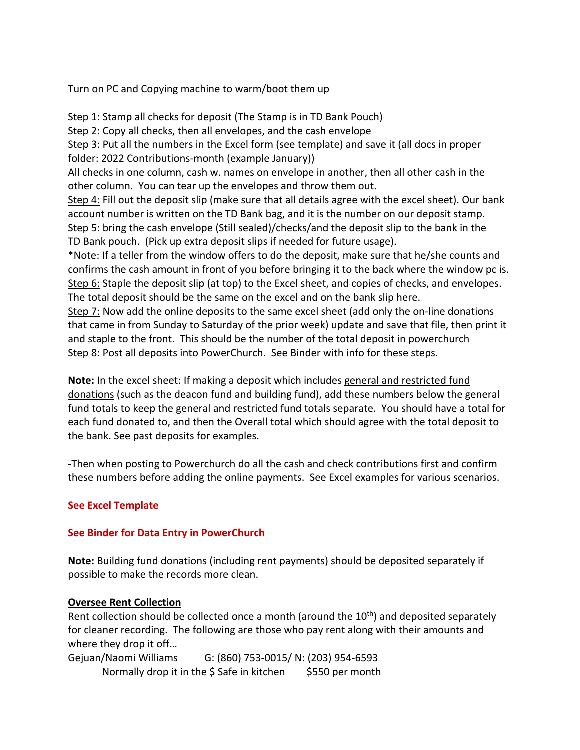Turn on PC and Copying machine to warm/boot them up

Step 1: Stamp all checks for deposit (The Stamp is in TD Bank Pouch) Step 2: Copy all checks, then all envelopes, and the cash envelope Step 3: Put all the numbers in the Excel form (see template) and save it (all docs in proper folder: 2022 Contributions-month (example January)) All checks in one column, cash w. names on envelope in another, then all other cash in the other column. You can tear up the envelopes and throw them out. Step 4: Fill out the deposit slip (make sure that all details agree with the excel sheet). Our bank account number is written on the TD Bank bag, and it is the number on our deposit stamp. Step 5: bring the cash envelope (Still sealed)/checks/and the deposit slip to the bank in the TD Bank pouch. (Pick up extra deposit slips if needed for future usage). \*Note: If a teller from the window offers to do the deposit, make sure that he/she counts and confirms the cash amount in front of you before bringing it to the back where the window pc is. Step 6: Staple the deposit slip (at top) to the Excel sheet, and copies of checks, and envelopes. The total deposit should be the same on the excel and on the bank slip here. Step 7: Now add the online deposits to the same excel sheet (add only the on-line donations

that came in from Sunday to Saturday of the prior week) update and save that file, then print it and staple to the front. This should be the number of the total deposit in powerchurch Step 8: Post all deposits into PowerChurch. See Binder with info for these steps.

**Note:** In the excel sheet: If making a deposit which includes general and restricted fund donations (such as the deacon fund and building fund), add these numbers below the general fund totals to keep the general and restricted fund totals separate. You should have a total for each fund donated to, and then the Overall total which should agree with the total deposit to the bank. See past deposits for examples.

-Then when posting to Powerchurch do all the cash and check contributions first and confirm these numbers before adding the online payments. See Excel examples for various scenarios.

## **See Excel Template**

## **See Binder for Data Entry in PowerChurch**

**Note:** Building fund donations (including rent payments) should be deposited separately if possible to make the records more clean.

## **Oversee Rent Collection**

Rent collection should be collected once a month (around the  $10<sup>th</sup>$ ) and deposited separately for cleaner recording. The following are those who pay rent along with their amounts and where they drop it off…

Gejuan/Naomi Williams G: (860) 753-0015/ N: (203) 954-6593 Normally drop it in the \$ Safe in kitchen \$550 per month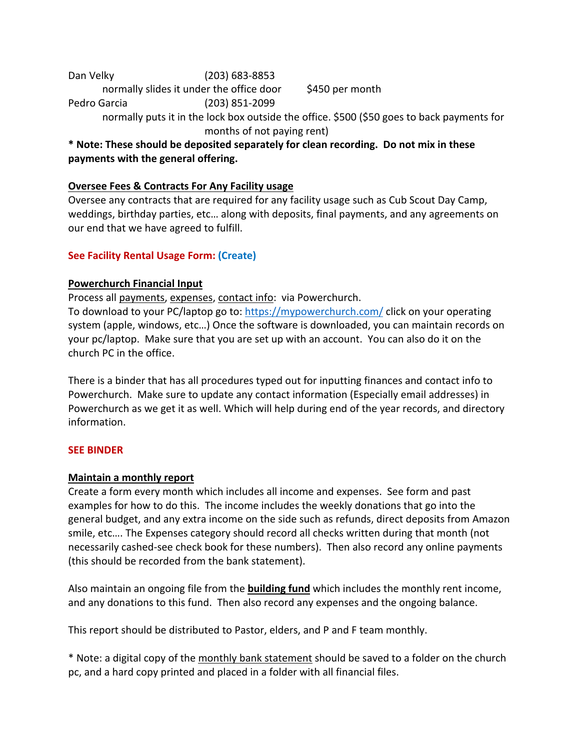Dan Velky (203) 683-8853 normally slides it under the office door \$450 per month Pedro Garcia (203) 851-2099

> normally puts it in the lock box outside the office. \$500 (\$50 goes to back payments for months of not paying rent)

**\* Note: These should be deposited separately for clean recording. Do not mix in these payments with the general offering.**

## **Oversee Fees & Contracts For Any Facility usage**

Oversee any contracts that are required for any facility usage such as Cub Scout Day Camp, weddings, birthday parties, etc… along with deposits, final payments, and any agreements on our end that we have agreed to fulfill.

## **See Facility Rental Usage Form: (Create)**

## **Powerchurch Financial Input**

Process all payments, expenses, contact info: via Powerchurch.

To download to your PC/laptop go to: https://mypowerchurch.com/ click on your operating system (apple, windows, etc…) Once the software is downloaded, you can maintain records on your pc/laptop. Make sure that you are set up with an account. You can also do it on the church PC in the office.

There is a binder that has all procedures typed out for inputting finances and contact info to Powerchurch. Make sure to update any contact information (Especially email addresses) in Powerchurch as we get it as well. Which will help during end of the year records, and directory information.

## **SEE BINDER**

## **Maintain a monthly report**

Create a form every month which includes all income and expenses. See form and past examples for how to do this. The income includes the weekly donations that go into the general budget, and any extra income on the side such as refunds, direct deposits from Amazon smile, etc…. The Expenses category should record all checks written during that month (not necessarily cashed-see check book for these numbers). Then also record any online payments (this should be recorded from the bank statement).

Also maintain an ongoing file from the **building fund** which includes the monthly rent income, and any donations to this fund. Then also record any expenses and the ongoing balance.

This report should be distributed to Pastor, elders, and P and F team monthly.

\* Note: a digital copy of the monthly bank statement should be saved to a folder on the church pc, and a hard copy printed and placed in a folder with all financial files.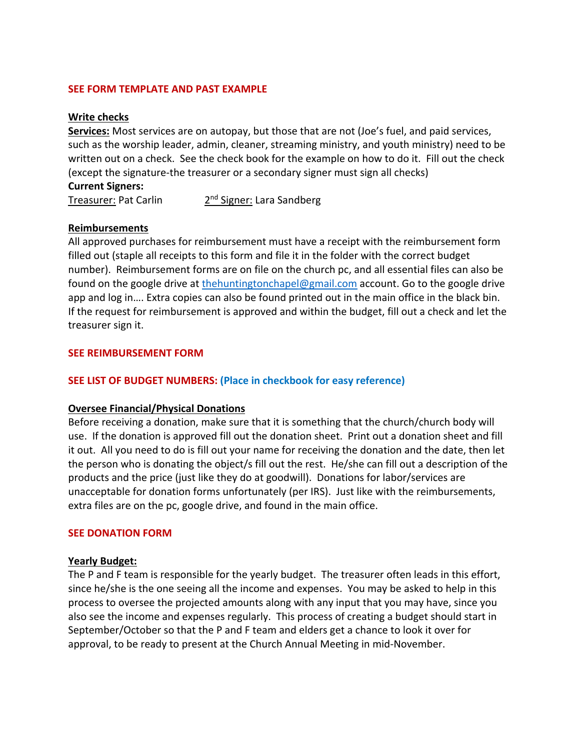#### **SEE FORM TEMPLATE AND PAST EXAMPLE**

#### **Write checks**

**Services:** Most services are on autopay, but those that are not (Joe's fuel, and paid services, such as the worship leader, admin, cleaner, streaming ministry, and youth ministry) need to be written out on a check. See the check book for the example on how to do it. Fill out the check (except the signature-the treasurer or a secondary signer must sign all checks)

#### **Current Signers:**

Treasurer: Pat Carlin 2<sup>nd</sup> Signer: Lara Sandberg

#### **Reimbursements**

All approved purchases for reimbursement must have a receipt with the reimbursement form filled out (staple all receipts to this form and file it in the folder with the correct budget number). Reimbursement forms are on file on the church pc, and all essential files can also be found on the google drive at thehuntingtonchapel@gmail.com account. Go to the google drive app and log in…. Extra copies can also be found printed out in the main office in the black bin. If the request for reimbursement is approved and within the budget, fill out a check and let the treasurer sign it.

#### **SEE REIMBURSEMENT FORM**

## **SEE LIST OF BUDGET NUMBERS: (Place in checkbook for easy reference)**

## **Oversee Financial/Physical Donations**

Before receiving a donation, make sure that it is something that the church/church body will use. If the donation is approved fill out the donation sheet. Print out a donation sheet and fill it out. All you need to do is fill out your name for receiving the donation and the date, then let the person who is donating the object/s fill out the rest. He/she can fill out a description of the products and the price (just like they do at goodwill). Donations for labor/services are unacceptable for donation forms unfortunately (per IRS). Just like with the reimbursements, extra files are on the pc, google drive, and found in the main office.

## **SEE DONATION FORM**

#### **Yearly Budget:**

The P and F team is responsible for the yearly budget. The treasurer often leads in this effort, since he/she is the one seeing all the income and expenses. You may be asked to help in this process to oversee the projected amounts along with any input that you may have, since you also see the income and expenses regularly. This process of creating a budget should start in September/October so that the P and F team and elders get a chance to look it over for approval, to be ready to present at the Church Annual Meeting in mid-November.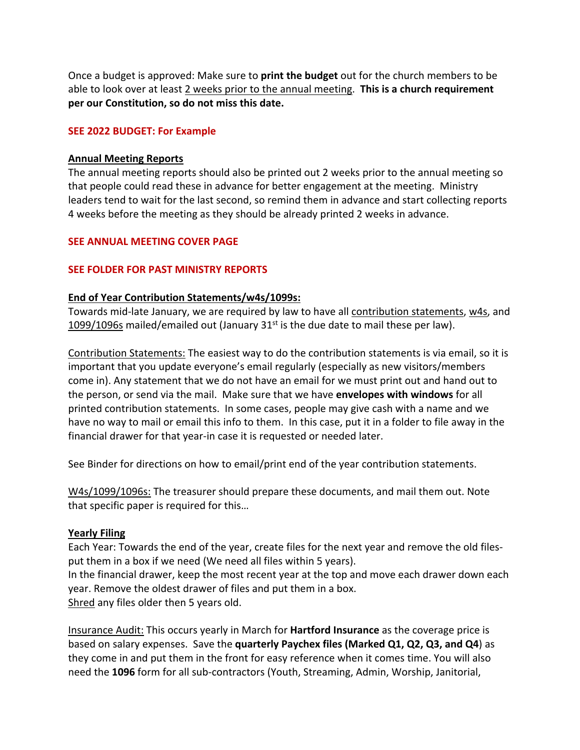Once a budget is approved: Make sure to **print the budget** out for the church members to be able to look over at least 2 weeks prior to the annual meeting. **This is a church requirement per our Constitution, so do not miss this date.**

### **SEE 2022 BUDGET: For Example**

#### **Annual Meeting Reports**

The annual meeting reports should also be printed out 2 weeks prior to the annual meeting so that people could read these in advance for better engagement at the meeting. Ministry leaders tend to wait for the last second, so remind them in advance and start collecting reports 4 weeks before the meeting as they should be already printed 2 weeks in advance.

## **SEE ANNUAL MEETING COVER PAGE**

#### **SEE FOLDER FOR PAST MINISTRY REPORTS**

#### **End of Year Contribution Statements/w4s/1099s:**

Towards mid-late January, we are required by law to have all contribution statements, w4s, and 1099/1096s mailed/emailed out (January  $31<sup>st</sup>$  is the due date to mail these per law).

Contribution Statements: The easiest way to do the contribution statements is via email, so it is important that you update everyone's email regularly (especially as new visitors/members come in). Any statement that we do not have an email for we must print out and hand out to the person, or send via the mail. Make sure that we have **envelopes with windows** for all printed contribution statements. In some cases, people may give cash with a name and we have no way to mail or email this info to them. In this case, put it in a folder to file away in the financial drawer for that year-in case it is requested or needed later.

See Binder for directions on how to email/print end of the year contribution statements.

W4s/1099/1096s: The treasurer should prepare these documents, and mail them out. Note that specific paper is required for this…

## **Yearly Filing**

Each Year: Towards the end of the year, create files for the next year and remove the old filesput them in a box if we need (We need all files within 5 years).

In the financial drawer, keep the most recent year at the top and move each drawer down each year. Remove the oldest drawer of files and put them in a box. Shred any files older then 5 years old.

Insurance Audit: This occurs yearly in March for **Hartford Insurance** as the coverage price is based on salary expenses. Save the **quarterly Paychex files (Marked Q1, Q2, Q3, and Q4**) as they come in and put them in the front for easy reference when it comes time. You will also need the **1096** form for all sub-contractors (Youth, Streaming, Admin, Worship, Janitorial,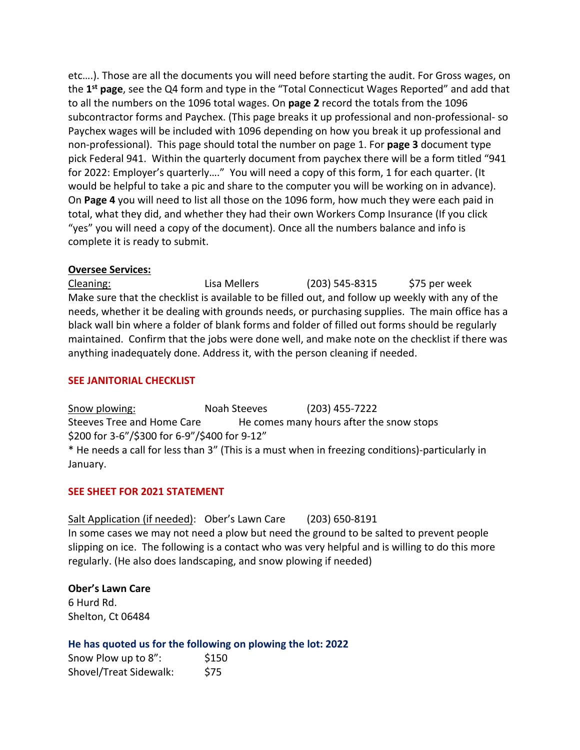etc….). Those are all the documents you will need before starting the audit. For Gross wages, on the **1st page**, see the Q4 form and type in the "Total Connecticut Wages Reported" and add that to all the numbers on the 1096 total wages. On **page 2** record the totals from the 1096 subcontractor forms and Paychex. (This page breaks it up professional and non-professional- so Paychex wages will be included with 1096 depending on how you break it up professional and non-professional). This page should total the number on page 1. For **page 3** document type pick Federal 941. Within the quarterly document from paychex there will be a form titled "941 for 2022: Employer's quarterly…." You will need a copy of this form, 1 for each quarter. (It would be helpful to take a pic and share to the computer you will be working on in advance). On **Page 4** you will need to list all those on the 1096 form, how much they were each paid in total, what they did, and whether they had their own Workers Comp Insurance (If you click "yes" you will need a copy of the document). Once all the numbers balance and info is complete it is ready to submit.

## **Oversee Services:**

Cleaning: Lisa Mellers (203) 545-8315 \$75 per week Make sure that the checklist is available to be filled out, and follow up weekly with any of the needs, whether it be dealing with grounds needs, or purchasing supplies. The main office has a black wall bin where a folder of blank forms and folder of filled out forms should be regularly maintained. Confirm that the jobs were done well, and make note on the checklist if there was anything inadequately done. Address it, with the person cleaning if needed.

## **SEE JANITORIAL CHECKLIST**

Snow plowing: Noah Steeves (203) 455-7222 Steeves Tree and Home Care He comes many hours after the snow stops \$200 for 3-6"/\$300 for 6-9"/\$400 for 9-12" \* He needs a call for less than 3" (This is a must when in freezing conditions)-particularly in January.

## **SEE SHEET FOR 2021 STATEMENT**

Salt Application (if needed): Ober's Lawn Care (203) 650-8191 In some cases we may not need a plow but need the ground to be salted to prevent people slipping on ice. The following is a contact who was very helpful and is willing to do this more regularly. (He also does landscaping, and snow plowing if needed)

**Ober's Lawn Care** 6 Hurd Rd. Shelton, Ct 06484

## **He has quoted us for the following on plowing the lot: 2022**

Snow Plow up to 8": \$150 Shovel/Treat Sidewalk: \$75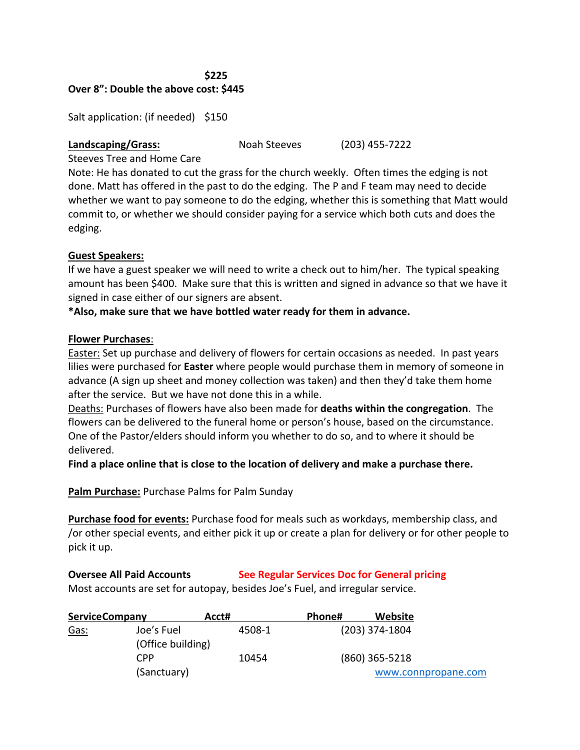#### **\$225 Over 8": Double the above cost: \$445**

Salt application: (if needed) \$150

#### **Landscaping/Grass:** Noah Steeves (203) 455-7222

Steeves Tree and Home Care

Note: He has donated to cut the grass for the church weekly. Often times the edging is not done. Matt has offered in the past to do the edging. The P and F team may need to decide whether we want to pay someone to do the edging, whether this is something that Matt would commit to, or whether we should consider paying for a service which both cuts and does the edging.

## **Guest Speakers:**

If we have a guest speaker we will need to write a check out to him/her. The typical speaking amount has been \$400. Make sure that this is written and signed in advance so that we have it signed in case either of our signers are absent.

## **\*Also, make sure that we have bottled water ready for them in advance.**

## **Flower Purchases**:

Easter: Set up purchase and delivery of flowers for certain occasions as needed. In past years lilies were purchased for **Easter** where people would purchase them in memory of someone in advance (A sign up sheet and money collection was taken) and then they'd take them home after the service. But we have not done this in a while.

Deaths: Purchases of flowers have also been made for **deaths within the congregation**. The flowers can be delivered to the funeral home or person's house, based on the circumstance. One of the Pastor/elders should inform you whether to do so, and to where it should be delivered.

**Find a place online that is close to the location of delivery and make a purchase there.** 

**Palm Purchase:** Purchase Palms for Palm Sunday

**Purchase food for events:** Purchase food for meals such as workdays, membership class, and /or other special events, and either pick it up or create a plan for delivery or for other people to pick it up.

## **Oversee All Paid Accounts See Regular Services Doc for General pricing**

Most accounts are set for autopay, besides Joe's Fuel, and irregular service.

| <b>ServiceCompany</b> |                   | Acct#  | Phone# | Website             |  |
|-----------------------|-------------------|--------|--------|---------------------|--|
| Gas:                  | Joe's Fuel        | 4508-1 |        | $(203)$ 374-1804    |  |
|                       | (Office building) |        |        |                     |  |
|                       | CPP               | 10454  |        | $(860)$ 365-5218    |  |
|                       | (Sanctuary)       |        |        | www.connpropane.com |  |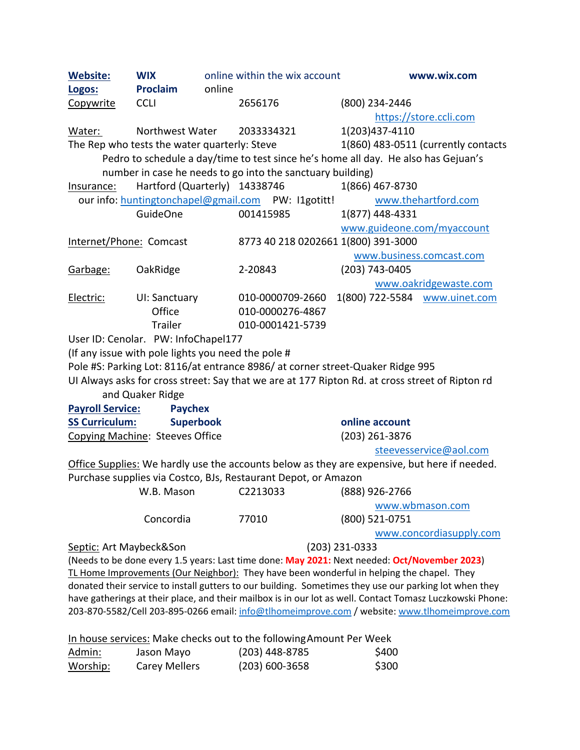| <b>Website:</b>                                                     | <b>WIX</b><br><b>Proclaim</b>                      | online | online within the wix account<br>www.wix.com                                  |                                                                                                           |  |
|---------------------------------------------------------------------|----------------------------------------------------|--------|-------------------------------------------------------------------------------|-----------------------------------------------------------------------------------------------------------|--|
| Logos:<br>Copywrite                                                 | <b>CCLI</b>                                        |        | 2656176                                                                       | (800) 234-2446                                                                                            |  |
|                                                                     |                                                    |        |                                                                               | https://store.ccli.com                                                                                    |  |
| Water:                                                              | Northwest Water                                    |        | 2033334321                                                                    | 1(203)437-4110                                                                                            |  |
|                                                                     | The Rep who tests the water quarterly: Steve       |        |                                                                               | 1(860) 483-0511 (currently contacts                                                                       |  |
|                                                                     |                                                    |        |                                                                               | Pedro to schedule a day/time to test since he's home all day. He also has Gejuan's                        |  |
|                                                                     |                                                    |        | number in case he needs to go into the sanctuary building)                    |                                                                                                           |  |
| Insurance:                                                          | Hartford (Quarterly) 14338746                      |        |                                                                               | 1(866) 467-8730                                                                                           |  |
|                                                                     |                                                    |        | our info: huntingtonchapel@gmail.com PW: I1gotitt!                            | www.thehartford.com                                                                                       |  |
|                                                                     | <b>GuideOne</b>                                    |        | 001415985                                                                     | 1(877) 448-4331                                                                                           |  |
|                                                                     |                                                    |        |                                                                               | www.guideone.com/myaccount                                                                                |  |
| Internet/Phone: Comcast                                             |                                                    |        | 8773 40 218 0202661 1(800) 391-3000                                           |                                                                                                           |  |
|                                                                     |                                                    |        |                                                                               | www.business.comcast.com                                                                                  |  |
| Garbage:                                                            | OakRidge                                           |        | 2-20843                                                                       | $(203)$ 743-0405                                                                                          |  |
|                                                                     |                                                    |        |                                                                               | www.oakridgewaste.com                                                                                     |  |
| Electric:                                                           | UI: Sanctuary                                      |        | 010-0000709-2660                                                              | 1(800) 722-5584 www.uinet.com                                                                             |  |
|                                                                     | Office                                             |        | 010-0000276-4867                                                              |                                                                                                           |  |
|                                                                     | <b>Trailer</b>                                     |        | 010-0001421-5739                                                              |                                                                                                           |  |
|                                                                     | User ID: Cenolar. PW: InfoChapel177                |        |                                                                               |                                                                                                           |  |
|                                                                     | (If any issue with pole lights you need the pole # |        |                                                                               |                                                                                                           |  |
|                                                                     |                                                    |        | Pole #S: Parking Lot: 8116/at entrance 8986/at corner street-Quaker Ridge 995 |                                                                                                           |  |
|                                                                     |                                                    |        |                                                                               | UI Always asks for cross street: Say that we are at 177 Ripton Rd. at cross street of Ripton rd           |  |
|                                                                     | and Quaker Ridge                                   |        |                                                                               |                                                                                                           |  |
| <b>Payroll Service:</b>                                             | <b>Paychex</b>                                     |        |                                                                               |                                                                                                           |  |
| <b>SS Curriculum:</b>                                               | <b>Superbook</b>                                   |        |                                                                               | online account                                                                                            |  |
| Copying Machine: Steeves Office                                     |                                                    |        | (203) 261-3876                                                                |                                                                                                           |  |
|                                                                     |                                                    |        |                                                                               | steevesservice@aol.com                                                                                    |  |
|                                                                     |                                                    |        |                                                                               | Office Supplies: We hardly use the accounts below as they are expensive, but here if needed.              |  |
|                                                                     |                                                    |        | Purchase supplies via Costco, BJs, Restaurant Depot, or Amazon                |                                                                                                           |  |
|                                                                     |                                                    |        |                                                                               |                                                                                                           |  |
|                                                                     |                                                    |        |                                                                               | www.wbmason.com                                                                                           |  |
|                                                                     | Concordia                                          |        | 77010                                                                         | (800) 521-0751                                                                                            |  |
|                                                                     |                                                    |        |                                                                               | www.concordiasupply.com                                                                                   |  |
| Septic: Art Maybeck&Son                                             |                                                    |        |                                                                               | $(203)$ 231-0333                                                                                          |  |
|                                                                     |                                                    |        |                                                                               | (Needs to be done every 1.5 years: Last time done: May 2021: Next needed: Oct/November 2023)              |  |
|                                                                     |                                                    |        |                                                                               | TL Home Improvements (Our Neighbor): They have been wonderful in helping the chapel. They                 |  |
|                                                                     |                                                    |        |                                                                               | donated their service to install gutters to our building. Sometimes they use our parking lot when they    |  |
|                                                                     |                                                    |        |                                                                               | have gatherings at their place, and their mailbox is in our lot as well. Contact Tomasz Luczkowski Phone: |  |
|                                                                     |                                                    |        |                                                                               | 203-870-5582/Cell 203-895-0266 email: info@tlhomeimprove.com / website: www.tlhomeimprove.com             |  |
| In house services: Make checks out to the following Amount Per Week |                                                    |        |                                                                               |                                                                                                           |  |
| Admin:                                                              | Jason Mayo                                         |        | (203) 448-8785                                                                | \$400                                                                                                     |  |
| Worship:                                                            | <b>Carey Mellers</b>                               |        | $(203) 600 - 3658$                                                            | \$300                                                                                                     |  |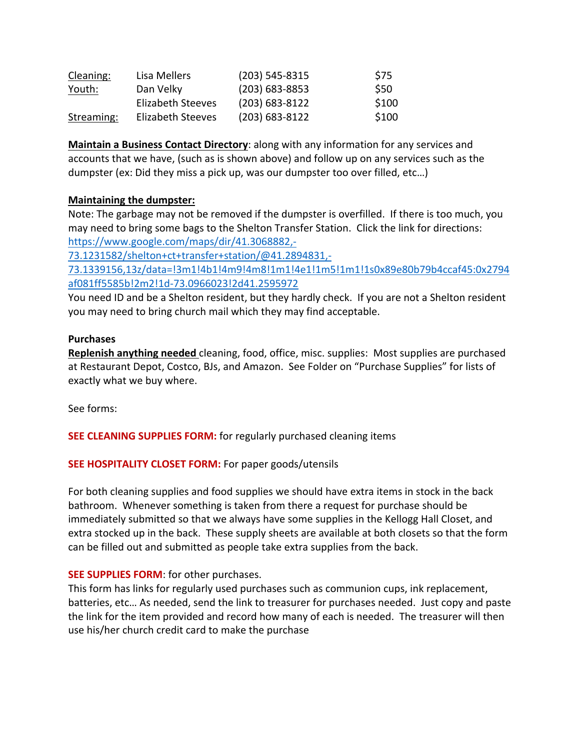| Cleaning:     | Lisa Mellers             | $(203)$ 545-8315   | S75   |
|---------------|--------------------------|--------------------|-------|
| <u>Youth:</u> | Dan Velky                | $(203)$ 683-8853   | \$50  |
|               | <b>Elizabeth Steeves</b> | $(203) 683 - 8122$ | \$100 |
| Streaming:    | <b>Elizabeth Steeves</b> | $(203) 683 - 8122$ | \$100 |

**Maintain a Business Contact Directory**: along with any information for any services and accounts that we have, (such as is shown above) and follow up on any services such as the dumpster (ex: Did they miss a pick up, was our dumpster too over filled, etc…)

## **Maintaining the dumpster:**

Note: The garbage may not be removed if the dumpster is overfilled. If there is too much, you may need to bring some bags to the Shelton Transfer Station. Click the link for directions: https://www.google.com/maps/dir/41.3068882,-

73.1231582/shelton+ct+transfer+station/@41.2894831,-

73.1339156,13z/data=!3m1!4b1!4m9!4m8!1m1!4e1!1m5!1m1!1s0x89e80b79b4ccaf45:0x2794 af081ff5585b!2m2!1d-73.0966023!2d41.2595972

You need ID and be a Shelton resident, but they hardly check. If you are not a Shelton resident you may need to bring church mail which they may find acceptable.

## **Purchases**

**Replenish anything needed** cleaning, food, office, misc. supplies: Most supplies are purchased at Restaurant Depot, Costco, BJs, and Amazon. See Folder on "Purchase Supplies" for lists of exactly what we buy where.

See forms:

**SEE CLEANING SUPPLIES FORM:** for regularly purchased cleaning items

## **SEE HOSPITALITY CLOSET FORM:** For paper goods/utensils

For both cleaning supplies and food supplies we should have extra items in stock in the back bathroom. Whenever something is taken from there a request for purchase should be immediately submitted so that we always have some supplies in the Kellogg Hall Closet, and extra stocked up in the back. These supply sheets are available at both closets so that the form can be filled out and submitted as people take extra supplies from the back.

## **SEE SUPPLIES FORM**: for other purchases.

This form has links for regularly used purchases such as communion cups, ink replacement, batteries, etc… As needed, send the link to treasurer for purchases needed. Just copy and paste the link for the item provided and record how many of each is needed. The treasurer will then use his/her church credit card to make the purchase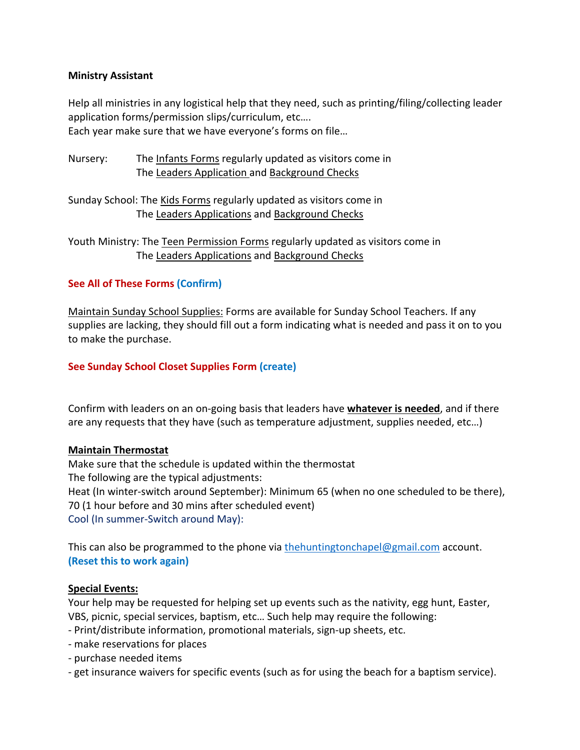## **Ministry Assistant**

Help all ministries in any logistical help that they need, such as printing/filing/collecting leader application forms/permission slips/curriculum, etc…. Each year make sure that we have everyone's forms on file…

Nursery: The Infants Forms regularly updated as visitors come in The Leaders Application and Background Checks

Sunday School: The Kids Forms regularly updated as visitors come in The Leaders Applications and Background Checks

Youth Ministry: The Teen Permission Forms regularly updated as visitors come in The Leaders Applications and Background Checks

## **See All of These Forms (Confirm)**

Maintain Sunday School Supplies: Forms are available for Sunday School Teachers. If any supplies are lacking, they should fill out a form indicating what is needed and pass it on to you to make the purchase.

## **See Sunday School Closet Supplies Form (create)**

Confirm with leaders on an on-going basis that leaders have **whatever is needed**, and if there are any requests that they have (such as temperature adjustment, supplies needed, etc…)

## **Maintain Thermostat**

Make sure that the schedule is updated within the thermostat The following are the typical adjustments: Heat (In winter-switch around September): Minimum 65 (when no one scheduled to be there), 70 (1 hour before and 30 mins after scheduled event) Cool (In summer-Switch around May):

This can also be programmed to the phone via thehuntingtonchapel@gmail.com account. **(Reset this to work again)**

## **Special Events:**

Your help may be requested for helping set up events such as the nativity, egg hunt, Easter, VBS, picnic, special services, baptism, etc… Such help may require the following:

- Print/distribute information, promotional materials, sign-up sheets, etc.
- make reservations for places
- purchase needed items
- get insurance waivers for specific events (such as for using the beach for a baptism service).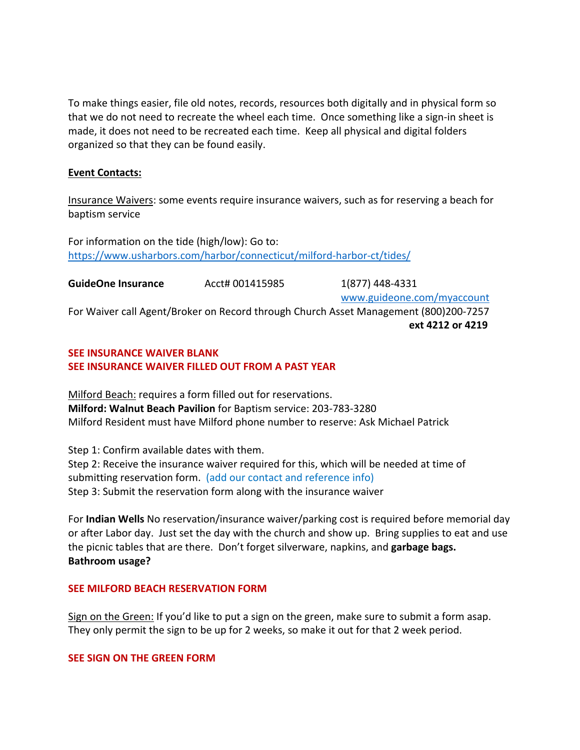To make things easier, file old notes, records, resources both digitally and in physical form so that we do not need to recreate the wheel each time. Once something like a sign-in sheet is made, it does not need to be recreated each time. Keep all physical and digital folders organized so that they can be found easily.

## **Event Contacts:**

Insurance Waivers: some events require insurance waivers, such as for reserving a beach for baptism service

For information on the tide (high/low): Go to: https://www.usharbors.com/harbor/connecticut/milford-harbor-ct/tides/

**GuideOne Insurance**  $\left( \frac{1}{877} \right)$  448-4331

www.guideone.com/myaccount

For Waiver call Agent/Broker on Record through Church Asset Management (800)200-7257 **ext 4212 or 4219**

## **SEE INSURANCE WAIVER BLANK SEE INSURANCE WAIVER FILLED OUT FROM A PAST YEAR**

Milford Beach: requires a form filled out for reservations. **Milford: Walnut Beach Pavilion** for Baptism service: 203-783-3280 Milford Resident must have Milford phone number to reserve: Ask Michael Patrick

Step 1: Confirm available dates with them. Step 2: Receive the insurance waiver required for this, which will be needed at time of submitting reservation form. (add our contact and reference info) Step 3: Submit the reservation form along with the insurance waiver

For **Indian Wells** No reservation/insurance waiver/parking cost is required before memorial day or after Labor day. Just set the day with the church and show up. Bring supplies to eat and use the picnic tables that are there. Don't forget silverware, napkins, and **garbage bags. Bathroom usage?**

## **SEE MILFORD BEACH RESERVATION FORM**

Sign on the Green: If you'd like to put a sign on the green, make sure to submit a form asap. They only permit the sign to be up for 2 weeks, so make it out for that 2 week period.

## **SEE SIGN ON THE GREEN FORM**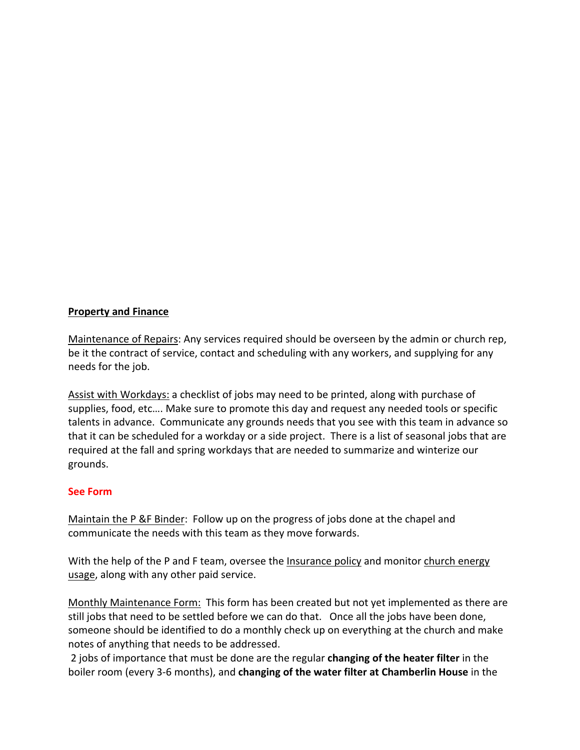## **Property and Finance**

Maintenance of Repairs: Any services required should be overseen by the admin or church rep, be it the contract of service, contact and scheduling with any workers, and supplying for any needs for the job.

Assist with Workdays: a checklist of jobs may need to be printed, along with purchase of supplies, food, etc…. Make sure to promote this day and request any needed tools or specific talents in advance. Communicate any grounds needs that you see with this team in advance so that it can be scheduled for a workday or a side project. There is a list of seasonal jobs that are required at the fall and spring workdays that are needed to summarize and winterize our grounds.

## **See Form**

Maintain the P &F Binder: Follow up on the progress of jobs done at the chapel and communicate the needs with this team as they move forwards.

With the help of the P and F team, oversee the Insurance policy and monitor church energy usage, along with any other paid service.

Monthly Maintenance Form: This form has been created but not yet implemented as there are still jobs that need to be settled before we can do that. Once all the jobs have been done, someone should be identified to do a monthly check up on everything at the church and make notes of anything that needs to be addressed.

2 jobs of importance that must be done are the regular **changing of the heater filter** in the boiler room (every 3-6 months), and **changing of the water filter at Chamberlin House** in the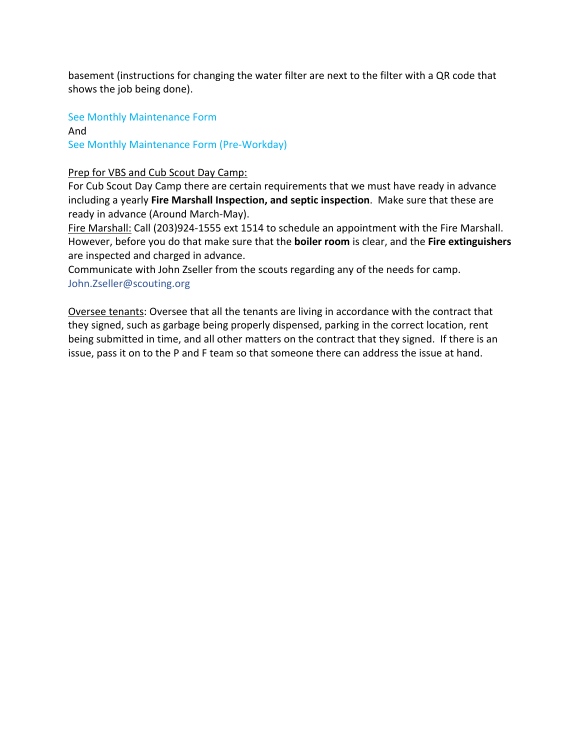basement (instructions for changing the water filter are next to the filter with a QR code that shows the job being done).

See Monthly Maintenance Form

And See Monthly Maintenance Form (Pre-Workday)

## Prep for VBS and Cub Scout Day Camp:

For Cub Scout Day Camp there are certain requirements that we must have ready in advance including a yearly **Fire Marshall Inspection, and septic inspection**. Make sure that these are ready in advance (Around March-May).

Fire Marshall: Call (203)924-1555 ext 1514 to schedule an appointment with the Fire Marshall. However, before you do that make sure that the **boiler room** is clear, and the **Fire extinguishers** are inspected and charged in advance.

Communicate with John Zseller from the scouts regarding any of the needs for camp. John.Zseller@scouting.org

Oversee tenants: Oversee that all the tenants are living in accordance with the contract that they signed, such as garbage being properly dispensed, parking in the correct location, rent being submitted in time, and all other matters on the contract that they signed. If there is an issue, pass it on to the P and F team so that someone there can address the issue at hand.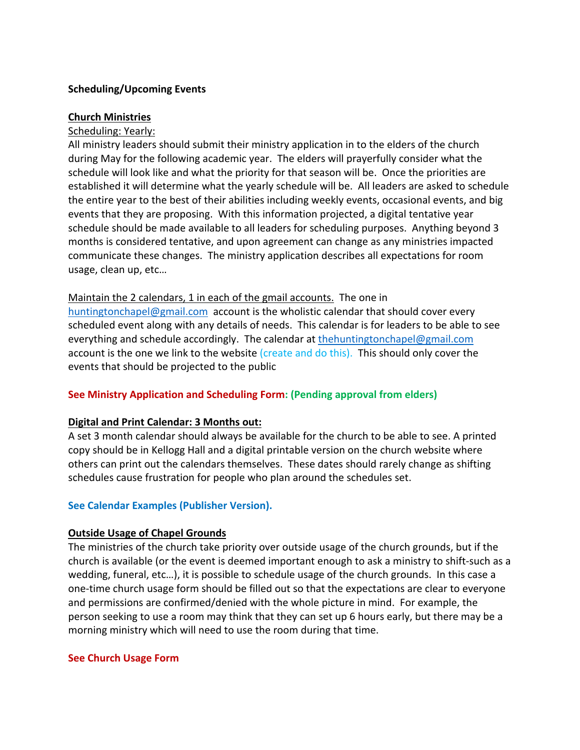## **Scheduling/Upcoming Events**

#### **Church Ministries**

### Scheduling: Yearly:

All ministry leaders should submit their ministry application in to the elders of the church during May for the following academic year. The elders will prayerfully consider what the schedule will look like and what the priority for that season will be. Once the priorities are established it will determine what the yearly schedule will be. All leaders are asked to schedule the entire year to the best of their abilities including weekly events, occasional events, and big events that they are proposing. With this information projected, a digital tentative year schedule should be made available to all leaders for scheduling purposes. Anything beyond 3 months is considered tentative, and upon agreement can change as any ministries impacted communicate these changes. The ministry application describes all expectations for room usage, clean up, etc…

#### Maintain the 2 calendars, 1 in each of the gmail accounts. The one in

huntingtonchapel@gmail.com account is the wholistic calendar that should cover every scheduled event along with any details of needs. This calendar is for leaders to be able to see everything and schedule accordingly. The calendar at thehuntingtonchapel@gmail.com account is the one we link to the website (create and do this). This should only cover the events that should be projected to the public

## **See Ministry Application and Scheduling Form: (Pending approval from elders)**

#### **Digital and Print Calendar: 3 Months out:**

A set 3 month calendar should always be available for the church to be able to see. A printed copy should be in Kellogg Hall and a digital printable version on the church website where others can print out the calendars themselves. These dates should rarely change as shifting schedules cause frustration for people who plan around the schedules set.

## **See Calendar Examples (Publisher Version).**

#### **Outside Usage of Chapel Grounds**

The ministries of the church take priority over outside usage of the church grounds, but if the church is available (or the event is deemed important enough to ask a ministry to shift-such as a wedding, funeral, etc…), it is possible to schedule usage of the church grounds. In this case a one-time church usage form should be filled out so that the expectations are clear to everyone and permissions are confirmed/denied with the whole picture in mind. For example, the person seeking to use a room may think that they can set up 6 hours early, but there may be a morning ministry which will need to use the room during that time.

#### **See Church Usage Form**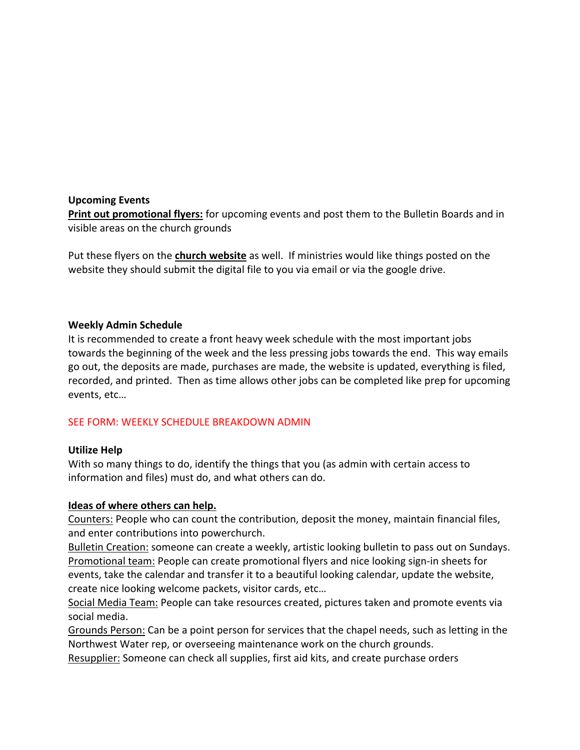#### **Upcoming Events**

**Print out promotional flyers:** for upcoming events and post them to the Bulletin Boards and in visible areas on the church grounds

Put these flyers on the **church website** as well. If ministries would like things posted on the website they should submit the digital file to you via email or via the google drive.

## **Weekly Admin Schedule**

It is recommended to create a front heavy week schedule with the most important jobs towards the beginning of the week and the less pressing jobs towards the end. This way emails go out, the deposits are made, purchases are made, the website is updated, everything is filed, recorded, and printed. Then as time allows other jobs can be completed like prep for upcoming events, etc…

## SEE FORM: WEEKLY SCHEDULE BREAKDOWN ADMIN

## **Utilize Help**

With so many things to do, identify the things that you (as admin with certain access to information and files) must do, and what others can do.

## **Ideas of where others can help.**

Counters: People who can count the contribution, deposit the money, maintain financial files, and enter contributions into powerchurch.

Bulletin Creation: someone can create a weekly, artistic looking bulletin to pass out on Sundays. Promotional team: People can create promotional flyers and nice looking sign-in sheets for events, take the calendar and transfer it to a beautiful looking calendar, update the website, create nice looking welcome packets, visitor cards, etc…

Social Media Team: People can take resources created, pictures taken and promote events via social media.

Grounds Person: Can be a point person for services that the chapel needs, such as letting in the Northwest Water rep, or overseeing maintenance work on the church grounds.

Resupplier: Someone can check all supplies, first aid kits, and create purchase orders